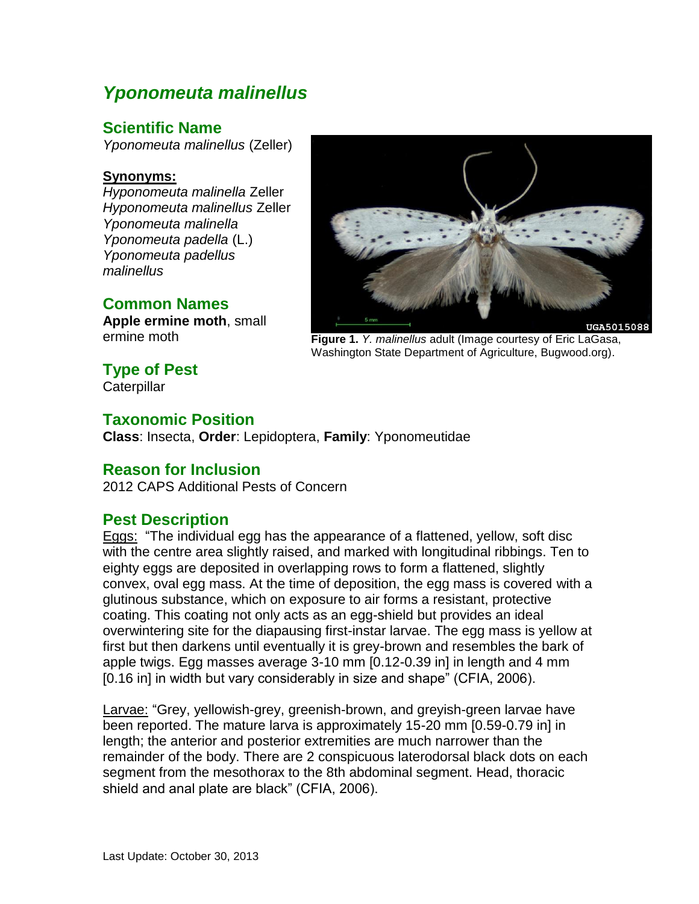## *Yponomeuta malinellus*

## **Scientific Name**

*Yponomeuta malinellus* (Zeller)

#### **Synonyms:**

*Hyponomeuta malinella* Zeller *Hyponomeuta malinellus* Zeller *Yponomeuta malinella Yponomeuta padella* (L.) *Yponomeuta padellus malinellus*

## **Common Names**

**Apple ermine moth**, small ermine moth



**Figure 1.** *Y. malinellus* adult (Image courtesy of Eric LaGasa, Washington State Department of Agriculture, Bugwood.org).

# **Type of Pest**

**Caterpillar** 

### **Taxonomic Position**

**Class**: Insecta, **Order**: Lepidoptera, **Family**: Yponomeutidae

#### **Reason for Inclusion**

2012 CAPS Additional Pests of Concern

## **Pest Description**

Eggs: "The individual egg has the appearance of a flattened, yellow, soft disc with the centre area slightly raised, and marked with longitudinal ribbings. Ten to eighty eggs are deposited in overlapping rows to form a flattened, slightly convex, oval egg mass. At the time of deposition, the egg mass is covered with a glutinous substance, which on exposure to air forms a resistant, protective coating. This coating not only acts as an egg-shield but provides an ideal overwintering site for the diapausing first-instar larvae. The egg mass is yellow at first but then darkens until eventually it is grey-brown and resembles the bark of apple twigs. Egg masses average 3-10 mm [0.12-0.39 in] in length and 4 mm [0.16 in] in width but vary considerably in size and shape" (CFIA, 2006).

Larvae: "Grey, yellowish-grey, greenish-brown, and greyish-green larvae have been reported. The mature larva is approximately 15-20 mm [0.59-0.79 in] in length; the anterior and posterior extremities are much narrower than the remainder of the body. There are 2 conspicuous laterodorsal black dots on each segment from the mesothorax to the 8th abdominal segment. Head, thoracic shield and anal plate are black" (CFIA, 2006).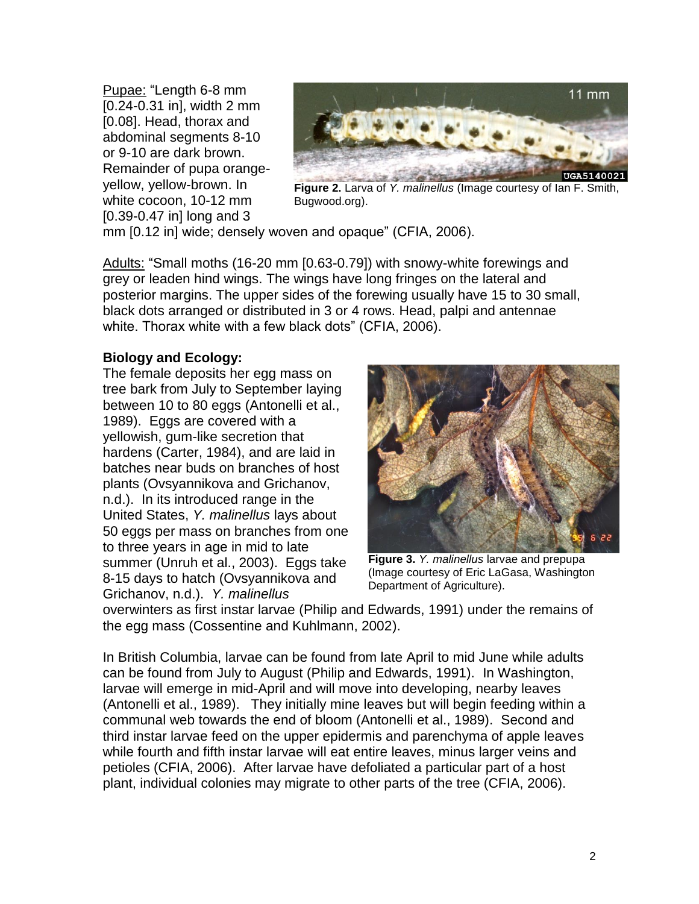Pupae: "Length 6-8 mm [0.24-0.31 in], width 2 mm [0.08]. Head, thorax and abdominal segments 8-10 or 9-10 are dark brown. Remainder of pupa orangeyellow, yellow-brown. In white cocoon, 10-12 mm [0.39-0.47 in] long and 3



**Figure 2.** Larva of *Y. malinellus* (Image courtesy of Ian F. Smith, Bugwood.org).

mm [0.12 in] wide; densely woven and opaque" (CFIA, 2006).

Adults: "Small moths (16-20 mm [0.63-0.79]) with snowy-white forewings and grey or leaden hind wings. The wings have long fringes on the lateral and posterior margins. The upper sides of the forewing usually have 15 to 30 small, black dots arranged or distributed in 3 or 4 rows. Head, palpi and antennae white. Thorax white with a few black dots" (CFIA, 2006).

#### **Biology and Ecology:**

The female deposits her egg mass on tree bark from July to September laying between 10 to 80 eggs (Antonelli et al., 1989). Eggs are covered with a yellowish, gum-like secretion that hardens (Carter, 1984), and are laid in batches near buds on branches of host plants (Ovsyannikova and Grichanov, n.d.). In its introduced range in the United States, *Y. malinellus* lays about 50 eggs per mass on branches from one to three years in age in mid to late summer (Unruh et al., 2003). Eggs take 8-15 days to hatch (Ovsyannikova and Grichanov, n.d.). *Y. malinellus*



**Figure 3.** *Y. malinellus* larvae and prepupa (Image courtesy of Eric LaGasa, Washington Department of Agriculture).

overwinters as first instar larvae (Philip and Edwards, 1991) under the remains of the egg mass (Cossentine and Kuhlmann, 2002).

In British Columbia, larvae can be found from late April to mid June while adults can be found from July to August (Philip and Edwards, 1991). In Washington, larvae will emerge in mid-April and will move into developing, nearby leaves (Antonelli et al., 1989). They initially mine leaves but will begin feeding within a communal web towards the end of bloom (Antonelli et al., 1989). Second and third instar larvae feed on the upper epidermis and parenchyma of apple leaves while fourth and fifth instar larvae will eat entire leaves, minus larger veins and petioles (CFIA, 2006). After larvae have defoliated a particular part of a host plant, individual colonies may migrate to other parts of the tree (CFIA, 2006).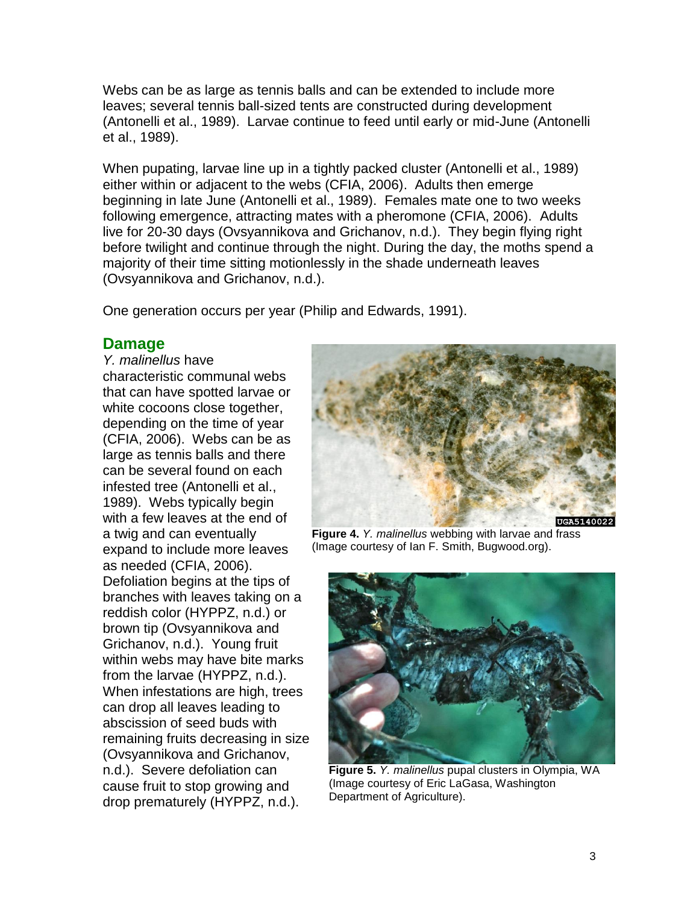Webs can be as large as tennis balls and can be extended to include more leaves; several tennis ball-sized tents are constructed during development (Antonelli et al., 1989). Larvae continue to feed until early or mid-June (Antonelli et al., 1989).

When pupating, larvae line up in a tightly packed cluster (Antonelli et al., 1989) either within or adjacent to the webs (CFIA, 2006). Adults then emerge beginning in late June (Antonelli et al., 1989). Females mate one to two weeks following emergence, attracting mates with a pheromone (CFIA, 2006). Adults live for 20-30 days (Ovsyannikova and Grichanov, n.d.). They begin flying right before twilight and continue through the night. During the day, the moths spend a majority of their time sitting motionlessly in the shade underneath leaves (Ovsyannikova and Grichanov, n.d.).

One generation occurs per year (Philip and Edwards, 1991).

#### **Damage**

*Y. malinellus* have characteristic communal webs that can have spotted larvae or white cocoons close together, depending on the time of year (CFIA, 2006). Webs can be as large as tennis balls and there can be several found on each infested tree (Antonelli et al., 1989). Webs typically begin with a few leaves at the end of a twig and can eventually expand to include more leaves as needed (CFIA, 2006). Defoliation begins at the tips of branches with leaves taking on a reddish color (HYPPZ, n.d.) or brown tip (Ovsyannikova and Grichanov, n.d.). Young fruit within webs may have bite marks from the larvae (HYPPZ, n.d.). When infestations are high, trees can drop all leaves leading to abscission of seed buds with remaining fruits decreasing in size (Ovsyannikova and Grichanov, n.d.). Severe defoliation can cause fruit to stop growing and drop prematurely (HYPPZ, n.d.).



**Figure 4.** *Y. malinellus* webbing with larvae and frass (Image courtesy of Ian F. Smith, Bugwood.org).



**Figure 5.** *Y. malinellus* pupal clusters in Olympia, WA (Image courtesy of Eric LaGasa, Washington Department of Agriculture).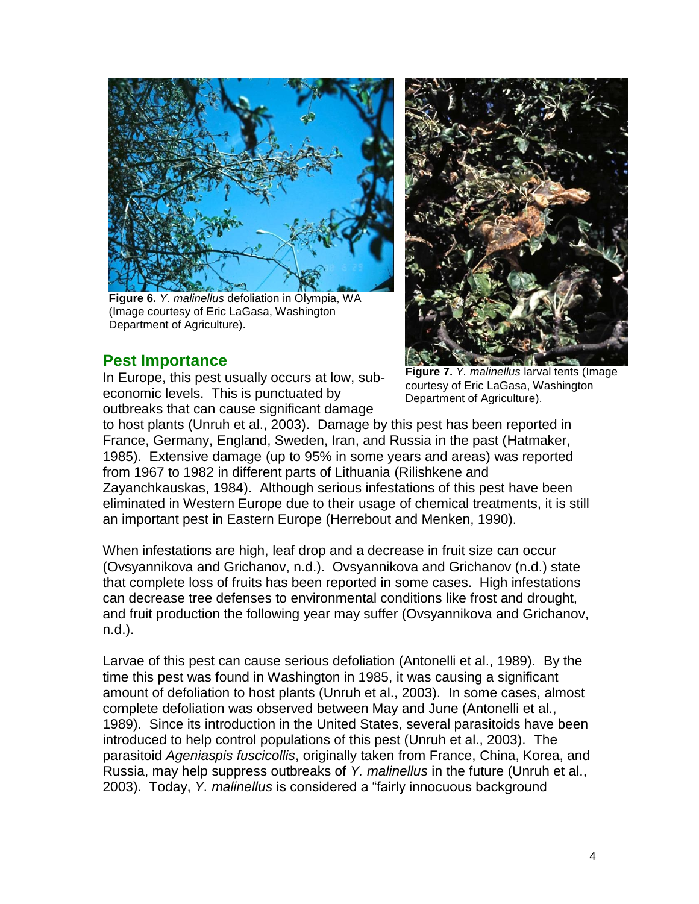

**Figure 6.** *Y. malinellus* defoliation in Olympia, WA (Image courtesy of Eric LaGasa, Washington Department of Agriculture).

### **Pest Importance**

In Europe, this pest usually occurs at low, subeconomic levels. This is punctuated by outbreaks that can cause significant damage



**Figure 7.** *Y. malinellus* larval tents (Image courtesy of Eric LaGasa, Washington Department of Agriculture).

to host plants (Unruh et al., 2003). Damage by this pest has been reported in France, Germany, England, Sweden, Iran, and Russia in the past (Hatmaker, 1985). Extensive damage (up to 95% in some years and areas) was reported from 1967 to 1982 in different parts of Lithuania (Rilishkene and Zayanchkauskas, 1984). Although serious infestations of this pest have been eliminated in Western Europe due to their usage of chemical treatments, it is still an important pest in Eastern Europe (Herrebout and Menken, 1990).

When infestations are high, leaf drop and a decrease in fruit size can occur (Ovsyannikova and Grichanov, n.d.). Ovsyannikova and Grichanov (n.d.) state that complete loss of fruits has been reported in some cases. High infestations can decrease tree defenses to environmental conditions like frost and drought, and fruit production the following year may suffer (Ovsyannikova and Grichanov, n.d.).

Larvae of this pest can cause serious defoliation (Antonelli et al., 1989). By the time this pest was found in Washington in 1985, it was causing a significant amount of defoliation to host plants (Unruh et al., 2003). In some cases, almost complete defoliation was observed between May and June (Antonelli et al., 1989). Since its introduction in the United States, several parasitoids have been introduced to help control populations of this pest (Unruh et al., 2003). The parasitoid *Ageniaspis fuscicollis*, originally taken from France, China, Korea, and Russia, may help suppress outbreaks of *Y. malinellus* in the future (Unruh et al., 2003). Today, *Y. malinellus* is considered a "fairly innocuous background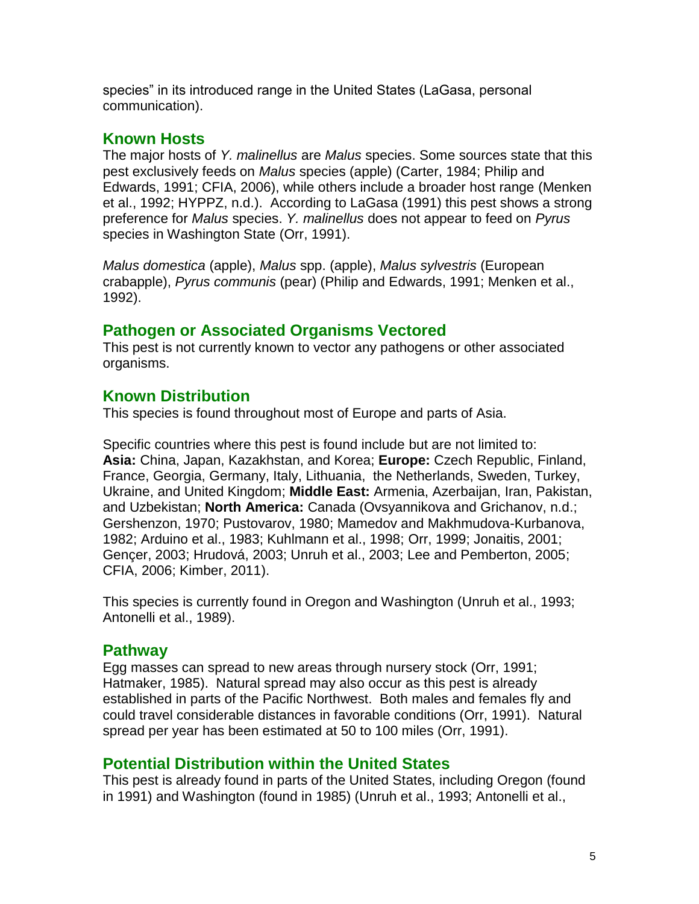species" in its introduced range in the United States (LaGasa, personal communication).

## **Known Hosts**

The major hosts of *Y. malinellus* are *Malus* species. Some sources state that this pest exclusively feeds on *Malus* species (apple) (Carter, 1984; Philip and Edwards, 1991; CFIA, 2006), while others include a broader host range (Menken et al., 1992; HYPPZ, n.d.). According to LaGasa (1991) this pest shows a strong preference for *Malus* species. *Y. malinellus* does not appear to feed on *Pyrus* species in Washington State (Orr, 1991).

*Malus domestica* (apple), *Malus* spp. (apple), *Malus sylvestris* (European crabapple), *Pyrus communis* (pear) (Philip and Edwards, 1991; Menken et al., 1992).

## **Pathogen or Associated Organisms Vectored**

This pest is not currently known to vector any pathogens or other associated organisms.

## **Known Distribution**

This species is found throughout most of Europe and parts of Asia.

Specific countries where this pest is found include but are not limited to: **Asia:** China, Japan, Kazakhstan, and Korea; **Europe:** Czech Republic, Finland, France, Georgia, Germany, Italy, Lithuania, the Netherlands, Sweden, Turkey, Ukraine, and United Kingdom; **Middle East:** Armenia, Azerbaijan, Iran, Pakistan, and Uzbekistan; **North America:** Canada (Ovsyannikova and Grichanov, n.d.; Gershenzon, 1970; Pustovarov, 1980; Mamedov and Makhmudova-Kurbanova, 1982; Arduino et al., 1983; Kuhlmann et al., 1998; Orr, 1999; Jonaitis, 2001; Gençer, 2003; Hrudová, 2003; Unruh et al., 2003; Lee and Pemberton, 2005; CFIA, 2006; Kimber, 2011).

This species is currently found in Oregon and Washington (Unruh et al., 1993; Antonelli et al., 1989).

## **Pathway**

Egg masses can spread to new areas through nursery stock (Orr, 1991; Hatmaker, 1985). Natural spread may also occur as this pest is already established in parts of the Pacific Northwest. Both males and females fly and could travel considerable distances in favorable conditions (Orr, 1991). Natural spread per year has been estimated at 50 to 100 miles (Orr, 1991).

## **Potential Distribution within the United States**

This pest is already found in parts of the United States, including Oregon (found in 1991) and Washington (found in 1985) (Unruh et al., 1993; Antonelli et al.,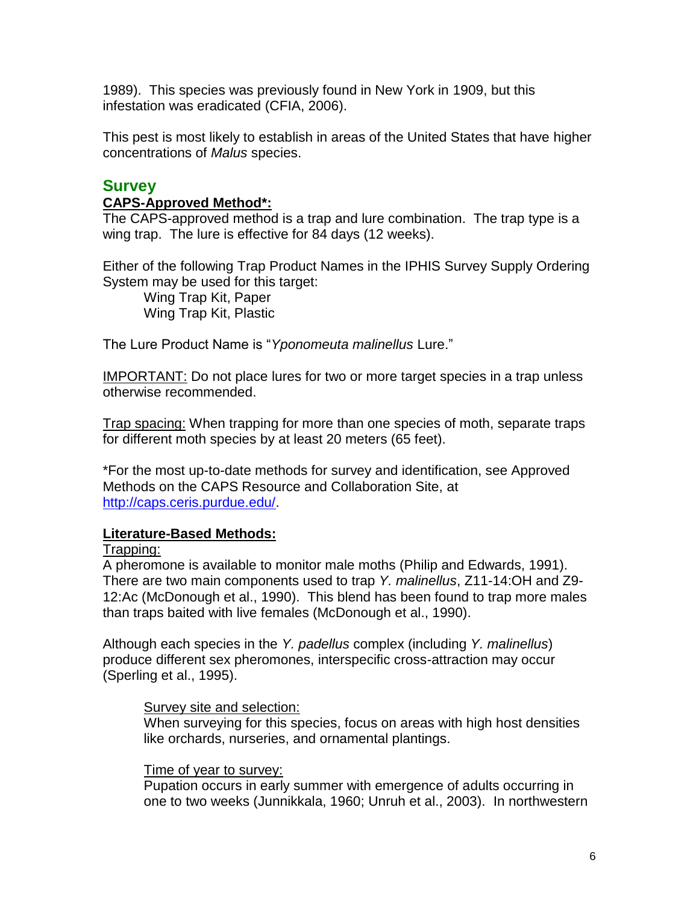1989). This species was previously found in New York in 1909, but this infestation was eradicated (CFIA, 2006).

This pest is most likely to establish in areas of the United States that have higher concentrations of *Malus* species.

## **Survey**

#### **CAPS-Approved Method\*:**

The CAPS-approved method is a trap and lure combination. The trap type is a wing trap. The lure is effective for 84 days (12 weeks).

Either of the following Trap Product Names in the IPHIS Survey Supply Ordering System may be used for this target:

Wing Trap Kit, Paper Wing Trap Kit, Plastic

The Lure Product Name is "*Yponomeuta malinellus* Lure."

IMPORTANT: Do not place lures for two or more target species in a trap unless otherwise recommended.

Trap spacing: When trapping for more than one species of moth, separate traps for different moth species by at least 20 meters (65 feet).

\*For the most up-to-date methods for survey and identification, see Approved Methods on the CAPS Resource and Collaboration Site, at http://caps.ceris.purdue.edu/.

#### **Literature-Based Methods:**

Trapping:

A pheromone is available to monitor male moths (Philip and Edwards, 1991). There are two main components used to trap *Y. malinellus*, Z11-14:OH and Z9- 12:Ac (McDonough et al., 1990). This blend has been found to trap more males than traps baited with live females (McDonough et al., 1990).

Although each species in the *Y. padellus* complex (including *Y. malinellus*) produce different sex pheromones, interspecific cross-attraction may occur (Sperling et al., 1995).

#### Survey site and selection:

When surveying for this species, focus on areas with high host densities like orchards, nurseries, and ornamental plantings.

#### Time of year to survey:

Pupation occurs in early summer with emergence of adults occurring in one to two weeks (Junnikkala, 1960; Unruh et al., 2003). In northwestern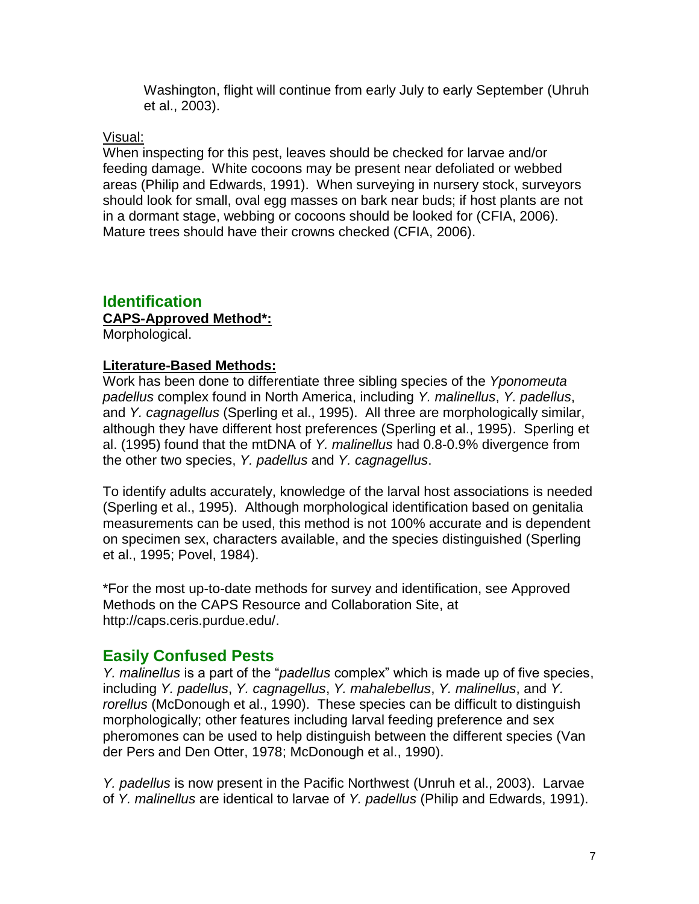Washington, flight will continue from early July to early September (Uhruh et al., 2003).

#### Visual:

When inspecting for this pest, leaves should be checked for larvae and/or feeding damage. White cocoons may be present near defoliated or webbed areas (Philip and Edwards, 1991). When surveying in nursery stock, surveyors should look for small, oval egg masses on bark near buds; if host plants are not in a dormant stage, webbing or cocoons should be looked for (CFIA, 2006). Mature trees should have their crowns checked (CFIA, 2006).

### **Identification**

#### **CAPS-Approved Method\*:**

Morphological.

#### **Literature-Based Methods:**

Work has been done to differentiate three sibling species of the *Yponomeuta padellus* complex found in North America, including *Y. malinellus*, *Y. padellus*, and *Y. cagnagellus* (Sperling et al., 1995). All three are morphologically similar, although they have different host preferences (Sperling et al., 1995). Sperling et al. (1995) found that the mtDNA of *Y. malinellus* had 0.8-0.9% divergence from the other two species, *Y. padellus* and *Y. cagnagellus*.

To identify adults accurately, knowledge of the larval host associations is needed (Sperling et al., 1995). Although morphological identification based on genitalia measurements can be used, this method is not 100% accurate and is dependent on specimen sex, characters available, and the species distinguished (Sperling et al., 1995; Povel, 1984).

\*For the most up-to-date methods for survey and identification, see Approved Methods on the CAPS Resource and Collaboration Site, at http://caps.ceris.purdue.edu/.

#### **Easily Confused Pests**

*Y. malinellus* is a part of the "*padellus* complex" which is made up of five species, including *Y. padellus*, *Y. cagnagellus*, *Y. mahalebellus*, *Y. malinellus*, and *Y. rorellus* (McDonough et al., 1990). These species can be difficult to distinguish morphologically; other features including larval feeding preference and sex pheromones can be used to help distinguish between the different species (Van der Pers and Den Otter, 1978; McDonough et al., 1990).

*Y. padellus* is now present in the Pacific Northwest (Unruh et al., 2003). Larvae of *Y. malinellus* are identical to larvae of *Y. padellus* (Philip and Edwards, 1991).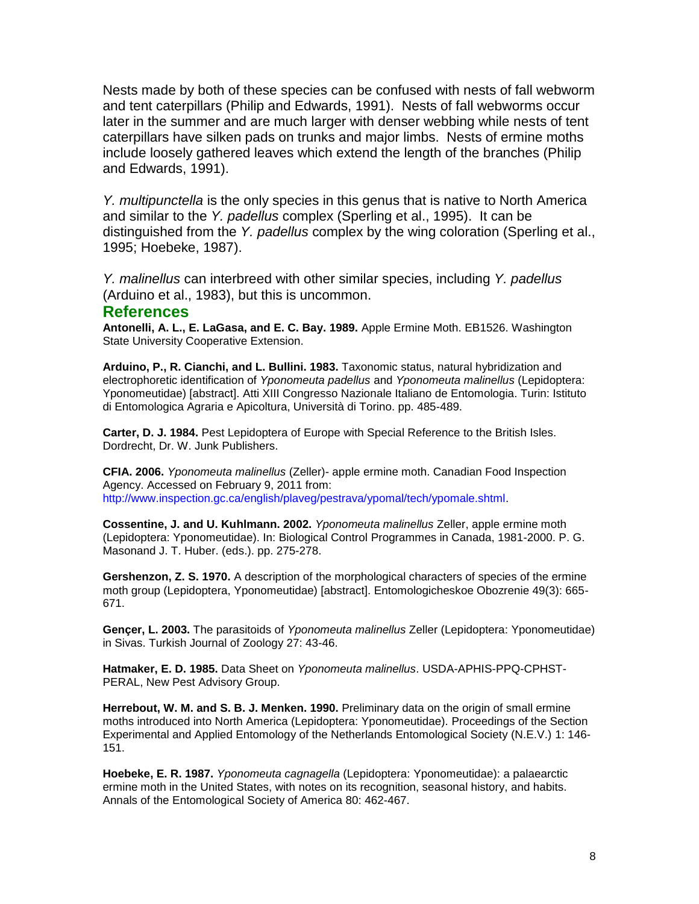Nests made by both of these species can be confused with nests of fall webworm and tent caterpillars (Philip and Edwards, 1991). Nests of fall webworms occur later in the summer and are much larger with denser webbing while nests of tent caterpillars have silken pads on trunks and major limbs. Nests of ermine moths include loosely gathered leaves which extend the length of the branches (Philip and Edwards, 1991).

*Y. multipunctella* is the only species in this genus that is native to North America and similar to the *Y. padellus* complex (Sperling et al., 1995). It can be distinguished from the *Y. padellus* complex by the wing coloration (Sperling et al., 1995; Hoebeke, 1987).

*Y. malinellus* can interbreed with other similar species, including *Y. padellus* (Arduino et al., 1983), but this is uncommon.

#### **References**

**Antonelli, A. L., E. LaGasa, and E. C. Bay. 1989.** Apple Ermine Moth. EB1526. Washington State University Cooperative Extension.

**Arduino, P., R. Cianchi, and L. Bullini. 1983.** Taxonomic status, natural hybridization and electrophoretic identification of *Yponomeuta padellus* and *Yponomeuta malinellus* (Lepidoptera: Yponomeutidae) [abstract]. Atti XIII Congresso Nazionale Italiano de Entomologia. Turin: Istituto di Entomologica Agraria e Apicoltura, Università di Torino. pp. 485-489.

**Carter, D. J. 1984.** Pest Lepidoptera of Europe with Special Reference to the British Isles. Dordrecht, Dr. W. Junk Publishers.

**CFIA. 2006.** *Yponomeuta malinellus* (Zeller)- apple ermine moth. Canadian Food Inspection Agency. Accessed on February 9, 2011 from: [http://www.inspection.gc.ca/english/plaveg/pestrava/ypomal/tech/ypomale.shtml.](http://www.inspection.gc.ca/english/plaveg/pestrava/ypomal/tech/ypomale.shtml)

**Cossentine, J. and U. Kuhlmann. 2002.** *Yponomeuta malinellus* Zeller, apple ermine moth (Lepidoptera: Yponomeutidae). In: Biological Control Programmes in Canada, 1981-2000. P. G. Masonand J. T. Huber. (eds.). pp. 275-278.

**Gershenzon, Z. S. 1970.** A description of the morphological characters of species of the ermine moth group (Lepidoptera, Yponomeutidae) [abstract]. Entomologicheskoe Obozrenie 49(3): 665- 671.

**Gençer, L. 2003.** The parasitoids of *Yponomeuta malinellus* Zeller (Lepidoptera: Yponomeutidae) in Sivas. Turkish Journal of Zoology 27: 43-46.

**Hatmaker, E. D. 1985.** Data Sheet on *Yponomeuta malinellus*. USDA-APHIS-PPQ-CPHST-PERAL, New Pest Advisory Group.

**Herrebout, W. M. and S. B. J. Menken. 1990.** Preliminary data on the origin of small ermine moths introduced into North America (Lepidoptera: Yponomeutidae). Proceedings of the Section Experimental and Applied Entomology of the Netherlands Entomological Society (N.E.V.) 1: 146- 151.

**Hoebeke, E. R. 1987.** *Yponomeuta cagnagella* (Lepidoptera: Yponomeutidae): a palaearctic ermine moth in the United States, with notes on its recognition, seasonal history, and habits. Annals of the Entomological Society of America 80: 462-467.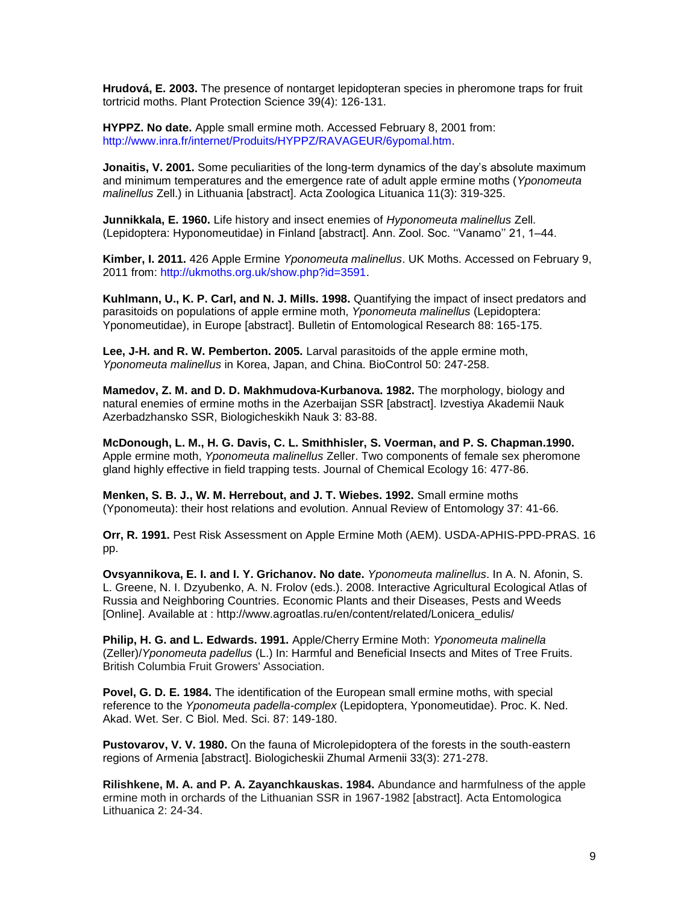**Hrudová, E. 2003.** The presence of nontarget lepidopteran species in pheromone traps for fruit tortricid moths. Plant Protection Science 39(4): 126-131.

**HYPPZ. No date.** Apple small ermine moth. Accessed February 8, 2001 from: [http://www.inra.fr/internet/Produits/HYPPZ/RAVAGEUR/6ypomal.htm.](http://www.inra.fr/internet/Produits/HYPPZ/RAVAGEUR/6ypomal.htm)

**Jonaitis, V. 2001.** Some peculiarities of the long-term dynamics of the day's absolute maximum and minimum temperatures and the emergence rate of adult apple ermine moths (*Yponomeuta malinellus* Zell.) in Lithuania [abstract]. Acta Zoologica Lituanica 11(3): 319-325.

**Junnikkala, E. 1960.** Life history and insect enemies of *Hyponomeuta malinellus* Zell. (Lepidoptera: Hyponomeutidae) in Finland [abstract]. Ann. Zool. Soc. ''Vanamo'' 21, 1–44.

**Kimber, I. 2011.** 426 Apple Ermine *Yponomeuta malinellus*. UK Moths. Accessed on February 9, 2011 from: [http://ukmoths.org.uk/show.php?id=3591.](http://ukmoths.org.uk/show.php?id=3591)

**Kuhlmann, U., K. P. Carl, and N. J. Mills. 1998.** Quantifying the impact of insect predators and parasitoids on populations of apple ermine moth, *Yponomeuta malinellus* (Lepidoptera: Yponomeutidae), in Europe [abstract]. Bulletin of Entomological Research 88: 165-175.

**Lee, J-H. and R. W. Pemberton. 2005.** Larval parasitoids of the apple ermine moth, *Yponomeuta malinellus* in Korea, Japan, and China. BioControl 50: 247-258.

**Mamedov, Z. M. and D. D. Makhmudova-Kurbanova. 1982.** The morphology, biology and natural enemies of ermine moths in the Azerbaijan SSR [abstract]. Izvestiya Akademii Nauk Azerbadzhansko SSR, Biologicheskikh Nauk 3: 83-88.

**McDonough, L. M., H. G. Davis, C. L. Smithhisler, S. Voerman, and P. S. Chapman.1990.** Apple ermine moth, *Yponomeuta malinellus* Zeller. Two components of female sex pheromone gland highly effective in field trapping tests. Journal of Chemical Ecology 16: 477-86.

**Menken, S. B. J., W. M. Herrebout, and J. T. Wiebes. 1992.** Small ermine moths (Yponomeuta): their host relations and evolution. Annual Review of Entomology 37: 41-66.

**Orr, R. 1991.** Pest Risk Assessment on Apple Ermine Moth (AEM). USDA-APHIS-PPD-PRAS. 16 pp.

**Ovsyannikova, E. I. and I. Y. Grichanov. No date.** *Yponomeuta malinellus*. In A. N. Afonin, S. L. Greene, N. I. Dzyubenko, A. N. Frolov (eds.). 2008. Interactive Agricultural Ecological Atlas of Russia and Neighboring Countries. Economic Plants and their Diseases, Pests and Weeds [Online]. Available at : http://www.agroatlas.ru/en/content/related/Lonicera\_edulis/

**Philip, H. G. and L. Edwards. 1991.** Apple/Cherry Ermine Moth: *Yponomeuta malinella* (Zeller)/*Yponomeuta padellus* (L.) In: Harmful and Beneficial Insects and Mites of Tree Fruits. British Columbia Fruit Growers' Association.

**Povel, G. D. E. 1984.** The identification of the European small ermine moths, with special reference to the *Yponomeuta padella-complex* (Lepidoptera, Yponomeutidae). Proc. K. Ned. Akad. Wet. Ser. C Biol. Med. Sci. 87: 149-180.

**Pustovarov, V. V. 1980.** On the fauna of Microlepidoptera of the forests in the south-eastern regions of Armenia [abstract]. Biologicheskii Zhumal Armenii 33(3): 271-278.

**Rilishkene, M. A. and P. A. Zayanchkauskas. 1984.** Abundance and harmfulness of the apple ermine moth in orchards of the Lithuanian SSR in 1967-1982 [abstract]. Acta Entomologica Lithuanica 2: 24-34.